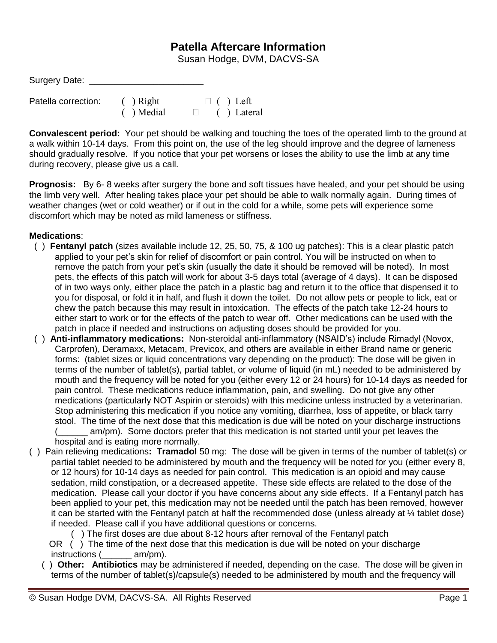## **Patella Aftercare Information**

Susan Hodge, DVM, DACVS-SA

| Surgery Date:       |              |                    |
|---------------------|--------------|--------------------|
| Patella correction: | $( )$ Right  | $\Box$ ( ) Left    |
|                     | $( )$ Medial | $\Box$ ( ) Lateral |

**Convalescent period:** Your pet should be walking and touching the toes of the operated limb to the ground at a walk within 10-14 days. From this point on, the use of the leg should improve and the degree of lameness should gradually resolve. If you notice that your pet worsens or loses the ability to use the limb at any time during recovery, please give us a call.

**Prognosis:** By 6- 8 weeks after surgery the bone and soft tissues have healed, and your pet should be using the limb very well. After healing takes place your pet should be able to walk normally again. During times of weather changes (wet or cold weather) or if out in the cold for a while, some pets will experience some discomfort which may be noted as mild lameness or stiffness.

## **Medications**:

- ( ) **Fentanyl patch** (sizes available include 12, 25, 50, 75, & 100 ug patches): This is a clear plastic patch applied to your pet's skin for relief of discomfort or pain control. You will be instructed on when to remove the patch from your pet's skin (usually the date it should be removed will be noted). In most pets, the effects of this patch will work for about 3-5 days total (average of 4 days). It can be disposed of in two ways only, either place the patch in a plastic bag and return it to the office that dispensed it to you for disposal, or fold it in half, and flush it down the toilet. Do not allow pets or people to lick, eat or chew the patch because this may result in intoxication. The effects of the patch take 12-24 hours to either start to work or for the effects of the patch to wear off. Other medications can be used with the patch in place if needed and instructions on adjusting doses should be provided for you.
- ( ) **Anti-inflammatory medications:** Non-steroidal anti-inflammatory (NSAID's) include Rimadyl (Novox, Carprofen), Deramaxx, Metacam, Previcox, and others are available in either Brand name or generic forms: (tablet sizes or liquid concentrations vary depending on the product): The dose will be given in terms of the number of tablet(s), partial tablet, or volume of liquid (in mL) needed to be administered by mouth and the frequency will be noted for you (either every 12 or 24 hours) for 10-14 days as needed for pain control. These medications reduce inflammation, pain, and swelling. Do not give any other medications (particularly NOT Aspirin or steroids) with this medicine unless instructed by a veterinarian. Stop administering this medication if you notice any vomiting, diarrhea, loss of appetite, or black tarry stool. The time of the next dose that this medication is due will be noted on your discharge instructions (\_\_\_\_\_\_ am/pm). Some doctors prefer that this medication is not started until your pet leaves the hospital and is eating more normally.
- ( ) Pain relieving medications**: Tramadol** 50 mg: The dose will be given in terms of the number of tablet(s) or partial tablet needed to be administered by mouth and the frequency will be noted for you (either every 8, or 12 hours) for 10-14 days as needed for pain control. This medication is an opioid and may cause sedation, mild constipation, or a decreased appetite. These side effects are related to the dose of the medication. Please call your doctor if you have concerns about any side effects. If a Fentanyl patch has been applied to your pet, this medication may not be needed until the patch has been removed, however it can be started with the Fentanyl patch at half the recommended dose (unless already at ¼ tablet dose) if needed. Please call if you have additional questions or concerns.
	- ( ) The first doses are due about 8-12 hours after removal of the Fentanyl patch
	- OR () The time of the next dose that this medication is due will be noted on your discharge instructions (  $am/pm$ ).
	- ( ) **Other: Antibiotics** may be administered if needed, depending on the case. The dose will be given in terms of the number of tablet(s)/capsule(s) needed to be administered by mouth and the frequency will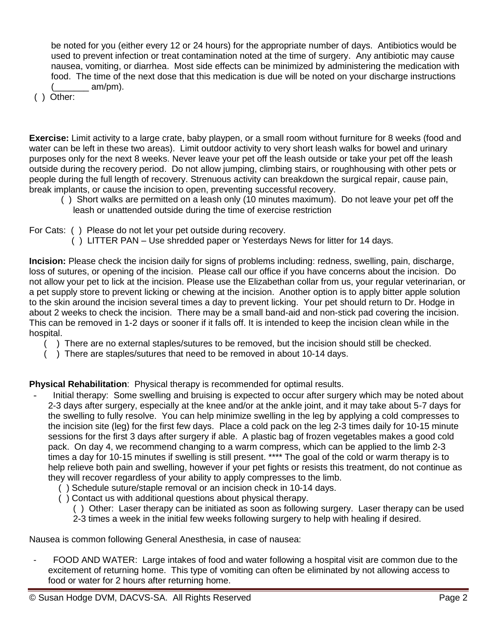be noted for you (either every 12 or 24 hours) for the appropriate number of days. Antibiotics would be used to prevent infection or treat contamination noted at the time of surgery. Any antibiotic may cause nausea, vomiting, or diarrhea. Most side effects can be minimized by administering the medication with food. The time of the next dose that this medication is due will be noted on your discharge instructions  $\_$  am/pm).

( ) Other:

**Exercise:** Limit activity to a large crate, baby playpen, or a small room without furniture for 8 weeks (food and water can be left in these two areas). Limit outdoor activity to very short leash walks for bowel and urinary purposes only for the next 8 weeks. Never leave your pet off the leash outside or take your pet off the leash outside during the recovery period. Do not allow jumping, climbing stairs, or roughhousing with other pets or people during the full length of recovery. Strenuous activity can breakdown the surgical repair, cause pain, break implants, or cause the incision to open, preventing successful recovery.

- ( ) Short walks are permitted on a leash only (10 minutes maximum). Do not leave your pet off the leash or unattended outside during the time of exercise restriction
- For Cats: ( ) Please do not let your pet outside during recovery.
	- ( ) LITTER PAN Use shredded paper or Yesterdays News for litter for 14 days.

**Incision:** Please check the incision daily for signs of problems including: redness, swelling, pain, discharge, loss of sutures, or opening of the incision. Please call our office if you have concerns about the incision. Do not allow your pet to lick at the incision. Please use the Elizabethan collar from us, your regular veterinarian, or a pet supply store to prevent licking or chewing at the incision. Another option is to apply bitter apple solution to the skin around the incision several times a day to prevent licking. Your pet should return to Dr. Hodge in about 2 weeks to check the incision. There may be a small band-aid and non-stick pad covering the incision. This can be removed in 1-2 days or sooner if it falls off. It is intended to keep the incision clean while in the hospital.

- ( ) There are no external staples/sutures to be removed, but the incision should still be checked.
- ( ) There are staples/sutures that need to be removed in about 10-14 days.

**Physical Rehabilitation**: Physical therapy is recommended for optimal results.

- Initial therapy: Some swelling and bruising is expected to occur after surgery which may be noted about 2-3 days after surgery, especially at the knee and/or at the ankle joint, and it may take about 5-7 days for the swelling to fully resolve. You can help minimize swelling in the leg by applying a cold compresses to the incision site (leg) for the first few days. Place a cold pack on the leg 2-3 times daily for 10-15 minute sessions for the first 3 days after surgery if able. A plastic bag of frozen vegetables makes a good cold pack. On day 4, we recommend changing to a warm compress, which can be applied to the limb 2-3 times a day for 10-15 minutes if swelling is still present. \*\*\*\* The goal of the cold or warm therapy is to help relieve both pain and swelling, however if your pet fights or resists this treatment, do not continue as they will recover regardless of your ability to apply compresses to the limb.
	- ( ) Schedule suture/staple removal or an incision check in 10-14 days.
	- ( ) Contact us with additional questions about physical therapy.
		- ( ) Other: Laser therapy can be initiated as soon as following surgery. Laser therapy can be used 2-3 times a week in the initial few weeks following surgery to help with healing if desired.

Nausea is common following General Anesthesia, in case of nausea:

FOOD AND WATER: Large intakes of food and water following a hospital visit are common due to the excitement of returning home. This type of vomiting can often be eliminated by not allowing access to food or water for 2 hours after returning home.